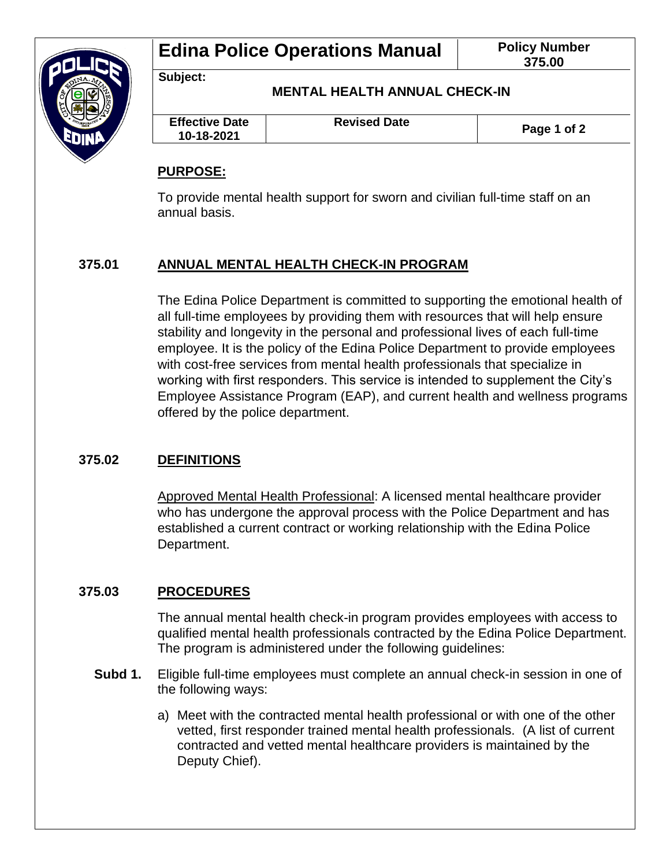

**Subject:**

**MENTAL HEALTH ANNUAL CHECK-IN**

| <b>Effective Date</b><br>10-18-2021 | <b>Revised Date</b> | Page 1 of 2 |
|-------------------------------------|---------------------|-------------|
|                                     |                     |             |

## **PURPOSE:**

To provide mental health support for sworn and civilian full-time staff on an annual basis.

# **375.01 ANNUAL MENTAL HEALTH CHECK-IN PROGRAM**

The Edina Police Department is committed to supporting the emotional health of all full-time employees by providing them with resources that will help ensure stability and longevity in the personal and professional lives of each full-time employee. It is the policy of the Edina Police Department to provide employees with cost-free services from mental health professionals that specialize in working with first responders. This service is intended to supplement the City's Employee Assistance Program (EAP), and current health and wellness programs offered by the police department.

## **375.02 DEFINITIONS**

Approved Mental Health Professional: A licensed mental healthcare provider who has undergone the approval process with the Police Department and has established a current contract or working relationship with the Edina Police Department.

## **375.03 PROCEDURES**

The annual mental health check-in program provides employees with access to qualified mental health professionals contracted by the Edina Police Department. The program is administered under the following guidelines:

- **Subd 1.** Eligible full-time employees must complete an annual check-in session in one of the following ways:
	- a) Meet with the contracted mental health professional or with one of the other vetted, first responder trained mental health professionals. (A list of current contracted and vetted mental healthcare providers is maintained by the Deputy Chief).